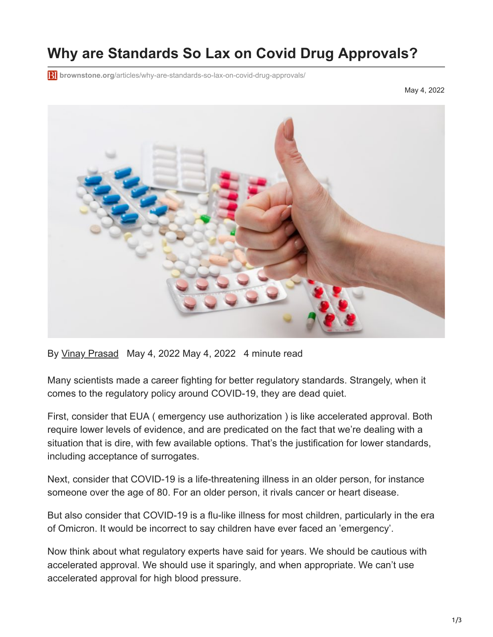# **Why are Standards So Lax on Covid Drug Approvals?**

**brownstone.org**[/articles/why-are-standards-so-lax-on-covid-drug-approvals/](https://brownstone.org/articles/why-are-standards-so-lax-on-covid-drug-approvals/)

May 4, 2022



By [Vinay Prasad](https://brownstone.org/author/vinay-prasad/) May 4, 2022 May 4, 2022 4 minute read

Many scientists made a career fighting for better regulatory standards. Strangely, when it comes to the regulatory policy around COVID-19, they are dead quiet.

First, consider that EUA ( emergency use authorization ) is like accelerated approval. Both require lower levels of evidence, and are predicated on the fact that we're dealing with a situation that is dire, with few available options. That's the justification for lower standards, including acceptance of surrogates.

Next, consider that COVID-19 is a life-threatening illness in an older person, for instance someone over the age of 80. For an older person, it rivals cancer or heart disease.

But also consider that COVID-19 is a flu-like illness for most children, particularly in the era of Omicron. It would be incorrect to say children have ever faced an 'emergency'.

Now think about what regulatory experts have said for years. We should be cautious with accelerated approval. We should use it sparingly, and when appropriate. We can't use accelerated approval for high blood pressure.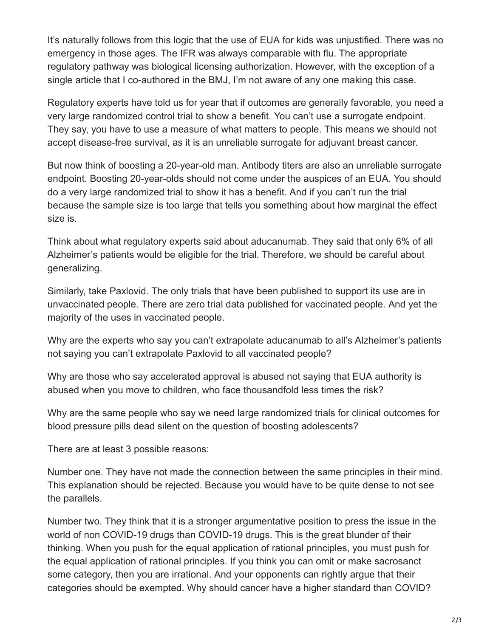It's naturally follows from this logic that the use of EUA for kids was unjustified. There was no emergency in those ages. The IFR was always comparable with flu. The appropriate regulatory pathway was biological licensing authorization. However, with the exception of a single article that I co-authored in the BMJ, I'm not aware of any one making this case.

Regulatory experts have told us for year that if outcomes are generally favorable, you need a very large randomized control trial to show a benefit. You can't use a surrogate endpoint. They say, you have to use a measure of what matters to people. This means we should not accept disease-free survival, as it is an unreliable surrogate for adjuvant breast cancer.

But now think of boosting a 20-year-old man. Antibody titers are also an unreliable surrogate endpoint. Boosting 20-year-olds should not come under the auspices of an EUA. You should do a very large randomized trial to show it has a benefit. And if you can't run the trial because the sample size is too large that tells you something about how marginal the effect size is.

Think about what regulatory experts said about aducanumab. They said that only 6% of all Alzheimer's patients would be eligible for the trial. Therefore, we should be careful about generalizing.

Similarly, take Paxlovid. The only trials that have been published to support its use are in unvaccinated people. There are zero trial data published for vaccinated people. And yet the majority of the uses in vaccinated people.

Why are the experts who say you can't extrapolate aducanumab to all's Alzheimer's patients not saying you can't extrapolate Paxlovid to all vaccinated people?

Why are those who say accelerated approval is abused not saying that EUA authority is abused when you move to children, who face thousandfold less times the risk?

Why are the same people who say we need large randomized trials for clinical outcomes for blood pressure pills dead silent on the question of boosting adolescents?

There are at least 3 possible reasons:

Number one. They have not made the connection between the same principles in their mind. This explanation should be rejected. Because you would have to be quite dense to not see the parallels.

Number two. They think that it is a stronger argumentative position to press the issue in the world of non COVID-19 drugs than COVID-19 drugs. This is the great blunder of their thinking. When you push for the equal application of rational principles, you must push for the equal application of rational principles. If you think you can omit or make sacrosanct some category, then you are irrational. And your opponents can rightly argue that their categories should be exempted. Why should cancer have a higher standard than COVID?